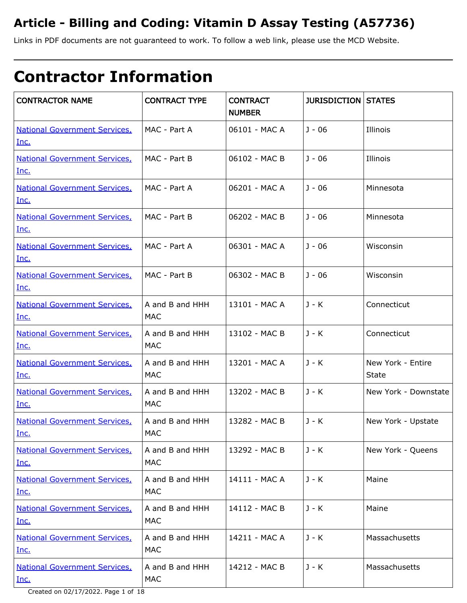# **Article - Billing and Coding: Vitamin D Assay Testing (A57736)**

Links in PDF documents are not guaranteed to work. To follow a web link, please use the MCD Website.

# **Contractor Information**

| <b>CONTRACTOR NAME</b>                              | <b>CONTRACT TYPE</b>          | <b>CONTRACT</b><br><b>NUMBER</b> | <b>JURISDICTION STATES</b> |                                   |
|-----------------------------------------------------|-------------------------------|----------------------------------|----------------------------|-----------------------------------|
| <b>National Government Services,</b><br>Inc.        | MAC - Part A                  | 06101 - MAC A                    | $J - 06$                   | Illinois                          |
| <b>National Government Services,</b><br>Inc.        | MAC - Part B                  | 06102 - MAC B                    | $J - 06$                   | Illinois                          |
| <b>National Government Services,</b><br>Inc.        | MAC - Part A                  | 06201 - MAC A                    | $J - 06$                   | Minnesota                         |
| <b>National Government Services,</b><br>Inc.        | MAC - Part B                  | 06202 - MAC B                    | $J - 06$                   | Minnesota                         |
| <b>National Government Services,</b><br>Inc.        | MAC - Part A                  | 06301 - MAC A                    | $J - 06$                   | Wisconsin                         |
| <b>National Government Services,</b><br>Inc.        | MAC - Part B                  | 06302 - MAC B                    | $J - 06$                   | Wisconsin                         |
| <b>National Government Services,</b><br><u>Inc.</u> | A and B and HHH<br><b>MAC</b> | 13101 - MAC A                    | J - K                      | Connecticut                       |
| <b>National Government Services,</b><br>Inc.        | A and B and HHH<br><b>MAC</b> | 13102 - MAC B                    | $J - K$                    | Connecticut                       |
| <b>National Government Services,</b><br>Inc.        | A and B and HHH<br>MAC        | 13201 - MAC A                    | $J - K$                    | New York - Entire<br><b>State</b> |
| <b>National Government Services,</b><br>Inc.        | A and B and HHH<br><b>MAC</b> | 13202 - MAC B                    | $J - K$                    | New York - Downstate              |
| <b>National Government Services,</b><br>Inc.        | A and B and HHH<br><b>MAC</b> | 13282 - MAC B                    | J - K                      | New York - Upstate                |
| <b>National Government Services,</b><br>Inc.        | A and B and HHH<br><b>MAC</b> | 13292 - MAC B                    | J - K                      | New York - Queens                 |
| <b>National Government Services,</b><br>Inc.        | A and B and HHH<br><b>MAC</b> | 14111 - MAC A                    | $J - K$                    | Maine                             |
| <b>National Government Services,</b><br><u>Inc.</u> | A and B and HHH<br><b>MAC</b> | 14112 - MAC B                    | J - K                      | Maine                             |
| <b>National Government Services,</b><br><u>Inc.</u> | A and B and HHH<br><b>MAC</b> | 14211 - MAC A                    | J - K                      | Massachusetts                     |
| <b>National Government Services,</b><br>Inc.        | A and B and HHH<br><b>MAC</b> | 14212 - MAC B                    | J - K                      | Massachusetts                     |

Created on 02/17/2022. Page 1 of 18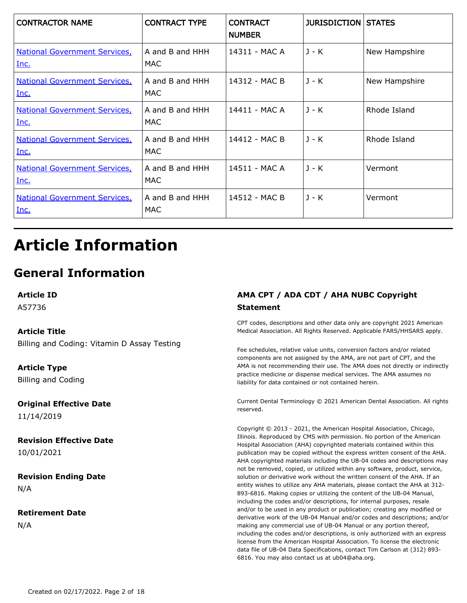| <b>CONTRACTOR NAME</b>                       | <b>CONTRACT TYPE</b>    | <b>CONTRACT</b><br><b>NUMBER</b> | <b>JURISDICTION STATES</b> |               |
|----------------------------------------------|-------------------------|----------------------------------|----------------------------|---------------|
| <b>National Government Services,</b><br>Inc. | A and B and HHH<br>MAC. | 14311 - MAC A                    | $J - K$                    | New Hampshire |
| <b>National Government Services</b><br>Inc.  | A and B and HHH<br>MAC  | 14312 - MAC B                    | $J - K$                    | New Hampshire |
| <b>National Government Services,</b><br>Inc. | A and B and HHH<br>MAC  | 14411 - MAC A                    | $J - K$                    | Rhode Island  |
| <b>National Government Services,</b><br>Inc. | A and B and HHH<br>MAC  | 14412 - MAC B                    | $J - K$                    | Rhode Island  |
| <b>National Government Services,</b><br>Inc. | A and B and HHH<br>MAC  | 14511 - MAC A                    | $J - K$                    | Vermont       |
| <b>National Government Services,</b><br>Inc. | A and B and HHH<br>MAC  | 14512 - MAC B                    | $J - K$                    | Vermont       |

# **Article Information**

# **General Information**

**Article ID**

A57736

#### **Article Title**

Billing and Coding: Vitamin D Assay Testing

**Article Type** Billing and Coding

**Original Effective Date** 11/14/2019

**Revision Effective Date** 10/01/2021

**Revision Ending Date** N/A

**Retirement Date** N/A

### **AMA CPT / ADA CDT / AHA NUBC Copyright Statement**

CPT codes, descriptions and other data only are copyright 2021 American Medical Association. All Rights Reserved. Applicable FARS/HHSARS apply.

Fee schedules, relative value units, conversion factors and/or related components are not assigned by the AMA, are not part of CPT, and the AMA is not recommending their use. The AMA does not directly or indirectly practice medicine or dispense medical services. The AMA assumes no liability for data contained or not contained herein.

Current Dental Terminology © 2021 American Dental Association. All rights reserved.

Copyright © 2013 - 2021, the American Hospital Association, Chicago, Illinois. Reproduced by CMS with permission. No portion of the American Hospital Association (AHA) copyrighted materials contained within this publication may be copied without the express written consent of the AHA. AHA copyrighted materials including the UB-04 codes and descriptions may not be removed, copied, or utilized within any software, product, service, solution or derivative work without the written consent of the AHA. If an entity wishes to utilize any AHA materials, please contact the AHA at 312- 893-6816. Making copies or utilizing the content of the UB-04 Manual, including the codes and/or descriptions, for internal purposes, resale and/or to be used in any product or publication; creating any modified or derivative work of the UB-04 Manual and/or codes and descriptions; and/or making any commercial use of UB-04 Manual or any portion thereof, including the codes and/or descriptions, is only authorized with an express license from the American Hospital Association. To license the electronic data file of UB-04 Data Specifications, contact Tim Carlson at (312) 893- 6816. You may also contact us at ub04@aha.org.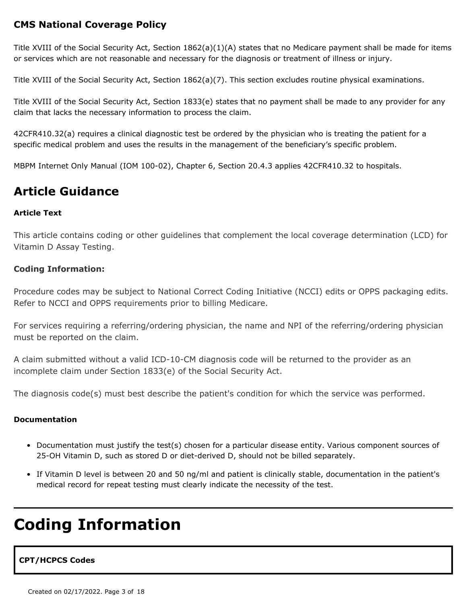## **CMS National Coverage Policy**

Title XVIII of the Social Security Act, Section 1862(a)(1)(A) states that no Medicare payment shall be made for items or services which are not reasonable and necessary for the diagnosis or treatment of illness or injury.

Title XVIII of the Social Security Act, Section 1862(a)(7). This section excludes routine physical examinations.

Title XVIII of the Social Security Act, Section 1833(e) states that no payment shall be made to any provider for any claim that lacks the necessary information to process the claim.

42CFR410.32(a) requires a clinical diagnostic test be ordered by the physician who is treating the patient for a specific medical problem and uses the results in the management of the beneficiary's specific problem.

MBPM Internet Only Manual (IOM 100-02), Chapter 6, Section 20.4.3 applies 42CFR410.32 to hospitals.

## **Article Guidance**

#### **Article Text**

This article contains coding or other guidelines that complement the local coverage determination (LCD) for Vitamin D Assay Testing.

#### **Coding Information:**

Procedure codes may be subject to National Correct Coding Initiative (NCCI) edits or OPPS packaging edits. Refer to NCCI and OPPS requirements prior to billing Medicare.

For services requiring a referring/ordering physician, the name and NPI of the referring/ordering physician must be reported on the claim.

A claim submitted without a valid ICD-10-CM diagnosis code will be returned to the provider as an incomplete claim under Section 1833(e) of the Social Security Act.

The diagnosis code(s) must best describe the patient's condition for which the service was performed.

#### **Documentation**

- Documentation must justify the test(s) chosen for a particular disease entity. Various component sources of 25-OH Vitamin D, such as stored D or diet-derived D, should not be billed separately.
- If Vitamin D level is between 20 and 50 ng/ml and patient is clinically stable, documentation in the patient's medical record for repeat testing must clearly indicate the necessity of the test.

# **Coding Information**

#### **CPT/HCPCS Codes**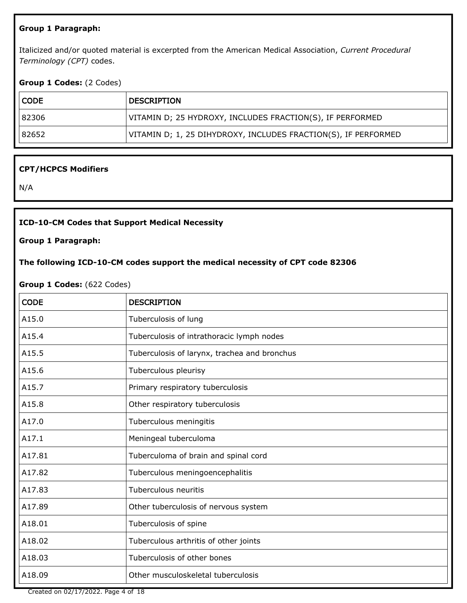#### **Group 1 Paragraph:**

Italicized and/or quoted material is excerpted from the American Medical Association, *Current Procedural Terminology (CPT)* codes.

#### **Group 1 Codes:** (2 Codes)

| CODE  | <b>DESCRIPTION</b>                                             |
|-------|----------------------------------------------------------------|
| 82306 | VITAMIN D; 25 HYDROXY, INCLUDES FRACTION(S), IF PERFORMED      |
| 82652 | VITAMIN D; 1, 25 DIHYDROXY, INCLUDES FRACTION(S), IF PERFORMED |

#### **CPT/HCPCS Modifiers**

N/A

#### **ICD-10-CM Codes that Support Medical Necessity**

**Group 1 Paragraph:**

#### **The following ICD-10-CM codes support the medical necessity of CPT code 82306**

#### **Group 1 Codes:** (622 Codes)

| <b>CODE</b> | <b>DESCRIPTION</b>                           |
|-------------|----------------------------------------------|
| A15.0       | Tuberculosis of lung                         |
| A15.4       | Tuberculosis of intrathoracic lymph nodes    |
| A15.5       | Tuberculosis of larynx, trachea and bronchus |
| A15.6       | Tuberculous pleurisy                         |
| A15.7       | Primary respiratory tuberculosis             |
| A15.8       | Other respiratory tuberculosis               |
| A17.0       | Tuberculous meningitis                       |
| A17.1       | Meningeal tuberculoma                        |
| A17.81      | Tuberculoma of brain and spinal cord         |
| A17.82      | Tuberculous meningoencephalitis              |
| A17.83      | Tuberculous neuritis                         |
| A17.89      | Other tuberculosis of nervous system         |
| A18.01      | Tuberculosis of spine                        |
| A18.02      | Tuberculous arthritis of other joints        |
| A18.03      | Tuberculosis of other bones                  |
| A18.09      | Other musculoskeletal tuberculosis           |

Created on 02/17/2022. Page 4 of 18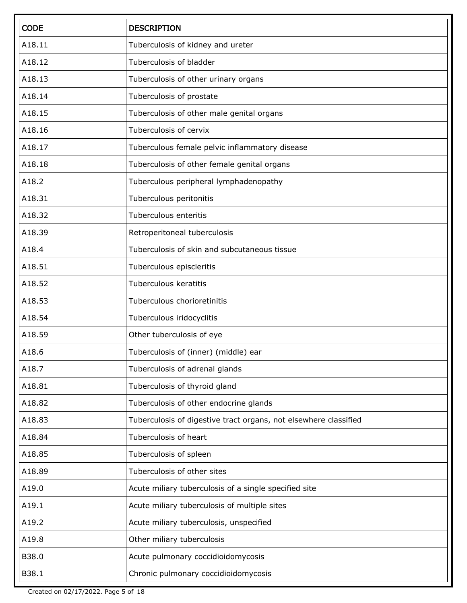| <b>CODE</b> | <b>DESCRIPTION</b>                                               |
|-------------|------------------------------------------------------------------|
| A18.11      | Tuberculosis of kidney and ureter                                |
| A18.12      | Tuberculosis of bladder                                          |
| A18.13      | Tuberculosis of other urinary organs                             |
| A18.14      | Tuberculosis of prostate                                         |
| A18.15      | Tuberculosis of other male genital organs                        |
| A18.16      | Tuberculosis of cervix                                           |
| A18.17      | Tuberculous female pelvic inflammatory disease                   |
| A18.18      | Tuberculosis of other female genital organs                      |
| A18.2       | Tuberculous peripheral lymphadenopathy                           |
| A18.31      | Tuberculous peritonitis                                          |
| A18.32      | Tuberculous enteritis                                            |
| A18.39      | Retroperitoneal tuberculosis                                     |
| A18.4       | Tuberculosis of skin and subcutaneous tissue                     |
| A18.51      | Tuberculous episcleritis                                         |
| A18.52      | Tuberculous keratitis                                            |
| A18.53      | Tuberculous chorioretinitis                                      |
| A18.54      | Tuberculous iridocyclitis                                        |
| A18.59      | Other tuberculosis of eye                                        |
| A18.6       | Tuberculosis of (inner) (middle) ear                             |
| A18.7       | Tuberculosis of adrenal glands                                   |
| A18.81      | Tuberculosis of thyroid gland                                    |
| A18.82      | Tuberculosis of other endocrine glands                           |
| A18.83      | Tuberculosis of digestive tract organs, not elsewhere classified |
| A18.84      | Tuberculosis of heart                                            |
| A18.85      | Tuberculosis of spleen                                           |
| A18.89      | Tuberculosis of other sites                                      |
| A19.0       | Acute miliary tuberculosis of a single specified site            |
| A19.1       | Acute miliary tuberculosis of multiple sites                     |
| A19.2       | Acute miliary tuberculosis, unspecified                          |
| A19.8       | Other miliary tuberculosis                                       |
| B38.0       | Acute pulmonary coccidioidomycosis                               |
| B38.1       | Chronic pulmonary coccidioidomycosis                             |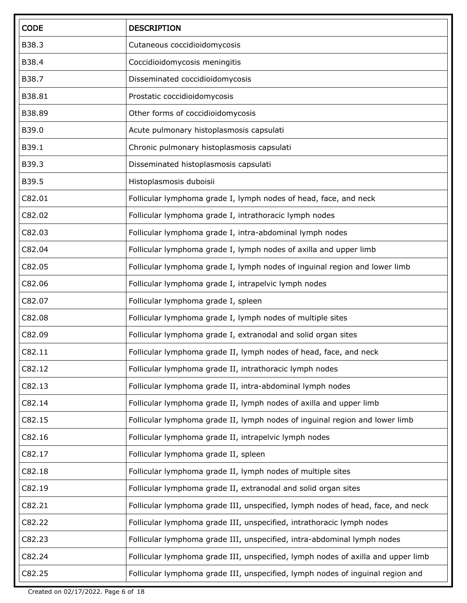| <b>CODE</b> | <b>DESCRIPTION</b>                                                               |
|-------------|----------------------------------------------------------------------------------|
| B38.3       | Cutaneous coccidioidomycosis                                                     |
| B38.4       | Coccidioidomycosis meningitis                                                    |
| B38.7       | Disseminated coccidioidomycosis                                                  |
| B38.81      | Prostatic coccidioidomycosis                                                     |
| B38.89      | Other forms of coccidioidomycosis                                                |
| B39.0       | Acute pulmonary histoplasmosis capsulati                                         |
| B39.1       | Chronic pulmonary histoplasmosis capsulati                                       |
| B39.3       | Disseminated histoplasmosis capsulati                                            |
| B39.5       | Histoplasmosis duboisii                                                          |
| C82.01      | Follicular lymphoma grade I, lymph nodes of head, face, and neck                 |
| C82.02      | Follicular lymphoma grade I, intrathoracic lymph nodes                           |
| C82.03      | Follicular lymphoma grade I, intra-abdominal lymph nodes                         |
| C82.04      | Follicular lymphoma grade I, lymph nodes of axilla and upper limb                |
| C82.05      | Follicular lymphoma grade I, lymph nodes of inguinal region and lower limb       |
| C82.06      | Follicular lymphoma grade I, intrapelvic lymph nodes                             |
| C82.07      | Follicular lymphoma grade I, spleen                                              |
| C82.08      | Follicular lymphoma grade I, lymph nodes of multiple sites                       |
| C82.09      | Follicular lymphoma grade I, extranodal and solid organ sites                    |
| C82.11      | Follicular lymphoma grade II, lymph nodes of head, face, and neck                |
| C82.12      | Follicular lymphoma grade II, intrathoracic lymph nodes                          |
| C82.13      | Follicular lymphoma grade II, intra-abdominal lymph nodes                        |
| C82.14      | Follicular lymphoma grade II, lymph nodes of axilla and upper limb               |
| C82.15      | Follicular lymphoma grade II, lymph nodes of inguinal region and lower limb      |
| C82.16      | Follicular lymphoma grade II, intrapelvic lymph nodes                            |
| C82.17      | Follicular lymphoma grade II, spleen                                             |
| C82.18      | Follicular lymphoma grade II, lymph nodes of multiple sites                      |
| C82.19      | Follicular lymphoma grade II, extranodal and solid organ sites                   |
| C82.21      | Follicular lymphoma grade III, unspecified, lymph nodes of head, face, and neck  |
| C82.22      | Follicular lymphoma grade III, unspecified, intrathoracic lymph nodes            |
| C82.23      | Follicular lymphoma grade III, unspecified, intra-abdominal lymph nodes          |
| C82.24      | Follicular lymphoma grade III, unspecified, lymph nodes of axilla and upper limb |
| C82.25      | Follicular lymphoma grade III, unspecified, lymph nodes of inguinal region and   |

Created on 02/17/2022. Page 6 of 18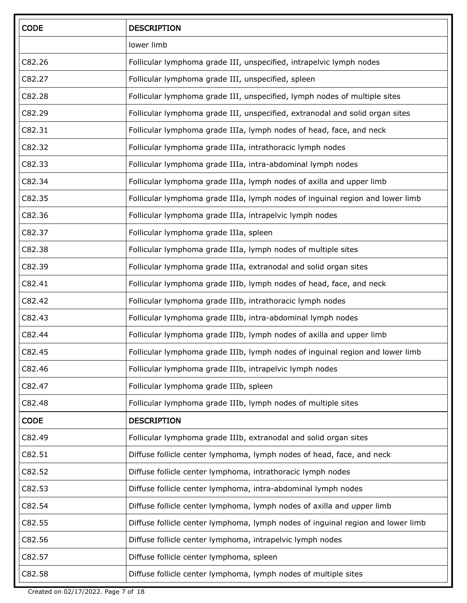| <b>CODE</b> | <b>DESCRIPTION</b>                                                              |
|-------------|---------------------------------------------------------------------------------|
|             | lower limb                                                                      |
| C82.26      | Follicular lymphoma grade III, unspecified, intrapelvic lymph nodes             |
| C82.27      | Follicular lymphoma grade III, unspecified, spleen                              |
| C82.28      | Follicular lymphoma grade III, unspecified, lymph nodes of multiple sites       |
| C82.29      | Follicular lymphoma grade III, unspecified, extranodal and solid organ sites    |
| C82.31      | Follicular lymphoma grade IIIa, lymph nodes of head, face, and neck             |
| C82.32      | Follicular lymphoma grade IIIa, intrathoracic lymph nodes                       |
| C82.33      | Follicular lymphoma grade IIIa, intra-abdominal lymph nodes                     |
| C82.34      | Follicular lymphoma grade IIIa, lymph nodes of axilla and upper limb            |
| C82.35      | Follicular lymphoma grade IIIa, lymph nodes of inguinal region and lower limb   |
| C82.36      | Follicular lymphoma grade IIIa, intrapelvic lymph nodes                         |
| C82.37      | Follicular lymphoma grade IIIa, spleen                                          |
| C82.38      | Follicular lymphoma grade IIIa, lymph nodes of multiple sites                   |
| C82.39      | Follicular lymphoma grade IIIa, extranodal and solid organ sites                |
| C82.41      | Follicular lymphoma grade IIIb, lymph nodes of head, face, and neck             |
| C82.42      | Follicular lymphoma grade IIIb, intrathoracic lymph nodes                       |
| C82.43      | Follicular lymphoma grade IIIb, intra-abdominal lymph nodes                     |
| C82.44      | Follicular lymphoma grade IIIb, lymph nodes of axilla and upper limb            |
| C82.45      | Follicular lymphoma grade IIIb, lymph nodes of inguinal region and lower limb   |
| C82.46      | Follicular lymphoma grade IIIb, intrapelvic lymph nodes                         |
| C82.47      | Follicular lymphoma grade IIIb, spleen                                          |
| C82.48      | Follicular lymphoma grade IIIb, lymph nodes of multiple sites                   |
| <b>CODE</b> | <b>DESCRIPTION</b>                                                              |
| C82.49      | Follicular lymphoma grade IIIb, extranodal and solid organ sites                |
| C82.51      | Diffuse follicle center lymphoma, lymph nodes of head, face, and neck           |
| C82.52      | Diffuse follicle center lymphoma, intrathoracic lymph nodes                     |
| C82.53      | Diffuse follicle center lymphoma, intra-abdominal lymph nodes                   |
| C82.54      | Diffuse follicle center lymphoma, lymph nodes of axilla and upper limb          |
| C82.55      | Diffuse follicle center lymphoma, lymph nodes of inguinal region and lower limb |
| C82.56      | Diffuse follicle center lymphoma, intrapelvic lymph nodes                       |
| C82.57      | Diffuse follicle center lymphoma, spleen                                        |
| C82.58      | Diffuse follicle center lymphoma, lymph nodes of multiple sites                 |

Created on 02/17/2022. Page 7 of 18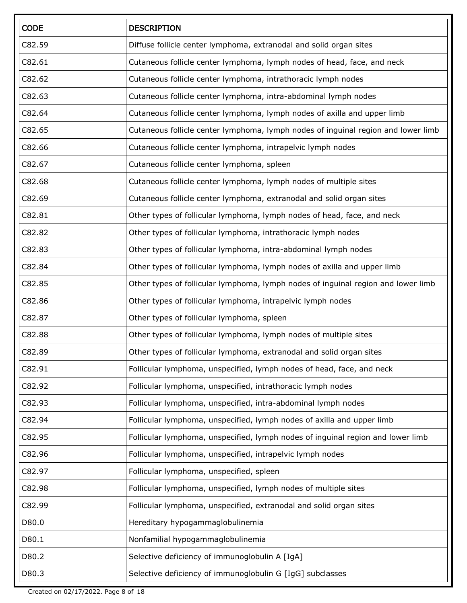| <b>CODE</b> | <b>DESCRIPTION</b>                                                                |
|-------------|-----------------------------------------------------------------------------------|
| C82.59      | Diffuse follicle center lymphoma, extranodal and solid organ sites                |
| C82.61      | Cutaneous follicle center lymphoma, lymph nodes of head, face, and neck           |
| C82.62      | Cutaneous follicle center lymphoma, intrathoracic lymph nodes                     |
| C82.63      | Cutaneous follicle center lymphoma, intra-abdominal lymph nodes                   |
| C82.64      | Cutaneous follicle center lymphoma, lymph nodes of axilla and upper limb          |
| C82.65      | Cutaneous follicle center lymphoma, lymph nodes of inguinal region and lower limb |
| C82.66      | Cutaneous follicle center lymphoma, intrapelvic lymph nodes                       |
| C82.67      | Cutaneous follicle center lymphoma, spleen                                        |
| C82.68      | Cutaneous follicle center lymphoma, lymph nodes of multiple sites                 |
| C82.69      | Cutaneous follicle center lymphoma, extranodal and solid organ sites              |
| C82.81      | Other types of follicular lymphoma, lymph nodes of head, face, and neck           |
| C82.82      | Other types of follicular lymphoma, intrathoracic lymph nodes                     |
| C82.83      | Other types of follicular lymphoma, intra-abdominal lymph nodes                   |
| C82.84      | Other types of follicular lymphoma, lymph nodes of axilla and upper limb          |
| C82.85      | Other types of follicular lymphoma, lymph nodes of inguinal region and lower limb |
| C82.86      | Other types of follicular lymphoma, intrapelvic lymph nodes                       |
| C82.87      | Other types of follicular lymphoma, spleen                                        |
| C82.88      | Other types of follicular lymphoma, lymph nodes of multiple sites                 |
| C82.89      | Other types of follicular lymphoma, extranodal and solid organ sites              |
| C82.91      | Follicular lymphoma, unspecified, lymph nodes of head, face, and neck             |
| C82.92      | Follicular lymphoma, unspecified, intrathoracic lymph nodes                       |
| C82.93      | Follicular lymphoma, unspecified, intra-abdominal lymph nodes                     |
| C82.94      | Follicular lymphoma, unspecified, lymph nodes of axilla and upper limb            |
| C82.95      | Follicular lymphoma, unspecified, lymph nodes of inguinal region and lower limb   |
| C82.96      | Follicular lymphoma, unspecified, intrapelvic lymph nodes                         |
| C82.97      | Follicular lymphoma, unspecified, spleen                                          |
| C82.98      | Follicular lymphoma, unspecified, lymph nodes of multiple sites                   |
| C82.99      | Follicular lymphoma, unspecified, extranodal and solid organ sites                |
| D80.0       | Hereditary hypogammaglobulinemia                                                  |
| D80.1       | Nonfamilial hypogammaglobulinemia                                                 |
| D80.2       | Selective deficiency of immunoglobulin A [IgA]                                    |
| D80.3       | Selective deficiency of immunoglobulin G [IgG] subclasses                         |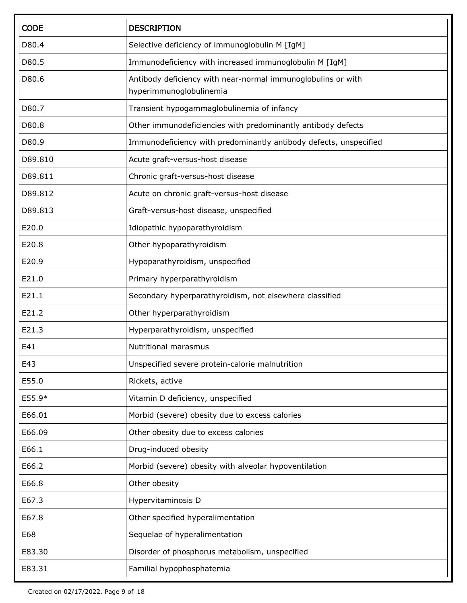| <b>CODE</b> | <b>DESCRIPTION</b>                                                                      |
|-------------|-----------------------------------------------------------------------------------------|
| D80.4       | Selective deficiency of immunoglobulin M [IgM]                                          |
| D80.5       | Immunodeficiency with increased immunoglobulin M [IgM]                                  |
| D80.6       | Antibody deficiency with near-normal immunoglobulins or with<br>hyperimmunoglobulinemia |
| D80.7       | Transient hypogammaglobulinemia of infancy                                              |
| D80.8       | Other immunodeficiencies with predominantly antibody defects                            |
| D80.9       | Immunodeficiency with predominantly antibody defects, unspecified                       |
| D89.810     | Acute graft-versus-host disease                                                         |
| D89.811     | Chronic graft-versus-host disease                                                       |
| D89.812     | Acute on chronic graft-versus-host disease                                              |
| D89.813     | Graft-versus-host disease, unspecified                                                  |
| E20.0       | Idiopathic hypoparathyroidism                                                           |
| E20.8       | Other hypoparathyroidism                                                                |
| E20.9       | Hypoparathyroidism, unspecified                                                         |
| E21.0       | Primary hyperparathyroidism                                                             |
| E21.1       | Secondary hyperparathyroidism, not elsewhere classified                                 |
| E21.2       | Other hyperparathyroidism                                                               |
| E21.3       | Hyperparathyroidism, unspecified                                                        |
| E41         | Nutritional marasmus                                                                    |
| E43         | Unspecified severe protein-calorie malnutrition                                         |
| E55.0       | Rickets, active                                                                         |
| E55.9*      | Vitamin D deficiency, unspecified                                                       |
| E66.01      | Morbid (severe) obesity due to excess calories                                          |
| E66.09      | Other obesity due to excess calories                                                    |
| E66.1       | Drug-induced obesity                                                                    |
| E66.2       | Morbid (severe) obesity with alveolar hypoventilation                                   |
| E66.8       | Other obesity                                                                           |
| E67.3       | Hypervitaminosis D                                                                      |
| E67.8       | Other specified hyperalimentation                                                       |
| E68         | Sequelae of hyperalimentation                                                           |
| E83.30      | Disorder of phosphorus metabolism, unspecified                                          |
| E83.31      | Familial hypophosphatemia                                                               |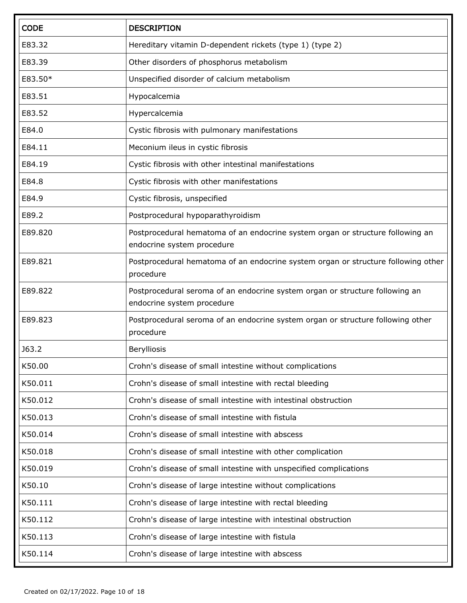| <b>CODE</b> | <b>DESCRIPTION</b>                                                                                           |
|-------------|--------------------------------------------------------------------------------------------------------------|
| E83.32      | Hereditary vitamin D-dependent rickets (type 1) (type 2)                                                     |
| E83.39      | Other disorders of phosphorus metabolism                                                                     |
| E83.50*     | Unspecified disorder of calcium metabolism                                                                   |
| E83.51      | Hypocalcemia                                                                                                 |
| E83.52      | Hypercalcemia                                                                                                |
| E84.0       | Cystic fibrosis with pulmonary manifestations                                                                |
| E84.11      | Meconium ileus in cystic fibrosis                                                                            |
| E84.19      | Cystic fibrosis with other intestinal manifestations                                                         |
| E84.8       | Cystic fibrosis with other manifestations                                                                    |
| E84.9       | Cystic fibrosis, unspecified                                                                                 |
| E89.2       | Postprocedural hypoparathyroidism                                                                            |
| E89.820     | Postprocedural hematoma of an endocrine system organ or structure following an<br>endocrine system procedure |
| E89.821     | Postprocedural hematoma of an endocrine system organ or structure following other<br>procedure               |
| E89.822     | Postprocedural seroma of an endocrine system organ or structure following an<br>endocrine system procedure   |
| E89.823     | Postprocedural seroma of an endocrine system organ or structure following other<br>procedure                 |
| J63.2       | Berylliosis                                                                                                  |
| K50.00      | Crohn's disease of small intestine without complications                                                     |
| K50.011     | Crohn's disease of small intestine with rectal bleeding                                                      |
| K50.012     | Crohn's disease of small intestine with intestinal obstruction                                               |
| K50.013     | Crohn's disease of small intestine with fistula                                                              |
| K50.014     | Crohn's disease of small intestine with abscess                                                              |
| K50.018     | Crohn's disease of small intestine with other complication                                                   |
| K50.019     | Crohn's disease of small intestine with unspecified complications                                            |
| K50.10      | Crohn's disease of large intestine without complications                                                     |
| K50.111     | Crohn's disease of large intestine with rectal bleeding                                                      |
| K50.112     | Crohn's disease of large intestine with intestinal obstruction                                               |
| K50.113     | Crohn's disease of large intestine with fistula                                                              |
| K50.114     | Crohn's disease of large intestine with abscess                                                              |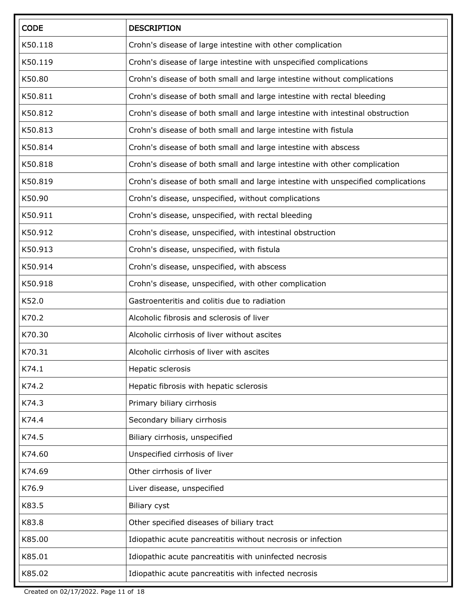| <b>CODE</b> | <b>DESCRIPTION</b>                                                               |
|-------------|----------------------------------------------------------------------------------|
| K50.118     | Crohn's disease of large intestine with other complication                       |
| K50.119     | Crohn's disease of large intestine with unspecified complications                |
| K50.80      | Crohn's disease of both small and large intestine without complications          |
| K50.811     | Crohn's disease of both small and large intestine with rectal bleeding           |
| K50.812     | Crohn's disease of both small and large intestine with intestinal obstruction    |
| K50.813     | Crohn's disease of both small and large intestine with fistula                   |
| K50.814     | Crohn's disease of both small and large intestine with abscess                   |
| K50.818     | Crohn's disease of both small and large intestine with other complication        |
| K50.819     | Crohn's disease of both small and large intestine with unspecified complications |
| K50.90      | Crohn's disease, unspecified, without complications                              |
| K50.911     | Crohn's disease, unspecified, with rectal bleeding                               |
| K50.912     | Crohn's disease, unspecified, with intestinal obstruction                        |
| K50.913     | Crohn's disease, unspecified, with fistula                                       |
| K50.914     | Crohn's disease, unspecified, with abscess                                       |
| K50.918     | Crohn's disease, unspecified, with other complication                            |
| K52.0       | Gastroenteritis and colitis due to radiation                                     |
| K70.2       | Alcoholic fibrosis and sclerosis of liver                                        |
| K70.30      | Alcoholic cirrhosis of liver without ascites                                     |
| K70.31      | Alcoholic cirrhosis of liver with ascites                                        |
| K74.1       | Hepatic sclerosis                                                                |
| K74.2       | Hepatic fibrosis with hepatic sclerosis                                          |
| K74.3       | Primary biliary cirrhosis                                                        |
| K74.4       | Secondary biliary cirrhosis                                                      |
| K74.5       | Biliary cirrhosis, unspecified                                                   |
| K74.60      | Unspecified cirrhosis of liver                                                   |
| K74.69      | Other cirrhosis of liver                                                         |
| K76.9       | Liver disease, unspecified                                                       |
| K83.5       | <b>Biliary cyst</b>                                                              |
| K83.8       | Other specified diseases of biliary tract                                        |
| K85.00      | Idiopathic acute pancreatitis without necrosis or infection                      |
| K85.01      | Idiopathic acute pancreatitis with uninfected necrosis                           |
| K85.02      | Idiopathic acute pancreatitis with infected necrosis                             |

Created on 02/17/2022. Page 11 of 18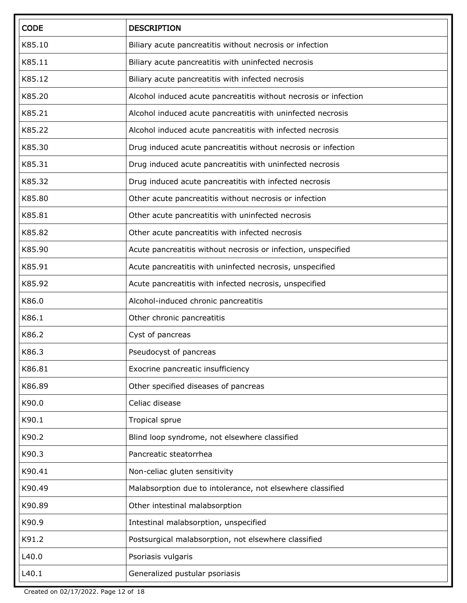| <b>CODE</b> | <b>DESCRIPTION</b>                                               |
|-------------|------------------------------------------------------------------|
| K85.10      | Biliary acute pancreatitis without necrosis or infection         |
| K85.11      | Biliary acute pancreatitis with uninfected necrosis              |
| K85.12      | Biliary acute pancreatitis with infected necrosis                |
| K85.20      | Alcohol induced acute pancreatitis without necrosis or infection |
| K85.21      | Alcohol induced acute pancreatitis with uninfected necrosis      |
| K85.22      | Alcohol induced acute pancreatitis with infected necrosis        |
| K85.30      | Drug induced acute pancreatitis without necrosis or infection    |
| K85.31      | Drug induced acute pancreatitis with uninfected necrosis         |
| K85.32      | Drug induced acute pancreatitis with infected necrosis           |
| K85.80      | Other acute pancreatitis without necrosis or infection           |
| K85.81      | Other acute pancreatitis with uninfected necrosis                |
| K85.82      | Other acute pancreatitis with infected necrosis                  |
| K85.90      | Acute pancreatitis without necrosis or infection, unspecified    |
| K85.91      | Acute pancreatitis with uninfected necrosis, unspecified         |
| K85.92      | Acute pancreatitis with infected necrosis, unspecified           |
| K86.0       | Alcohol-induced chronic pancreatitis                             |
| K86.1       | Other chronic pancreatitis                                       |
| K86.2       | Cyst of pancreas                                                 |
| K86.3       | Pseudocyst of pancreas                                           |
| K86.81      | Exocrine pancreatic insufficiency                                |
| K86.89      | Other specified diseases of pancreas                             |
| K90.0       | Celiac disease                                                   |
| K90.1       | Tropical sprue                                                   |
| K90.2       | Blind loop syndrome, not elsewhere classified                    |
| K90.3       | Pancreatic steatorrhea                                           |
| K90.41      | Non-celiac gluten sensitivity                                    |
| K90.49      | Malabsorption due to intolerance, not elsewhere classified       |
| K90.89      | Other intestinal malabsorption                                   |
| K90.9       | Intestinal malabsorption, unspecified                            |
| K91.2       | Postsurgical malabsorption, not elsewhere classified             |
| L40.0       | Psoriasis vulgaris                                               |
| L40.1       | Generalized pustular psoriasis                                   |

Created on 02/17/2022. Page 12 of 18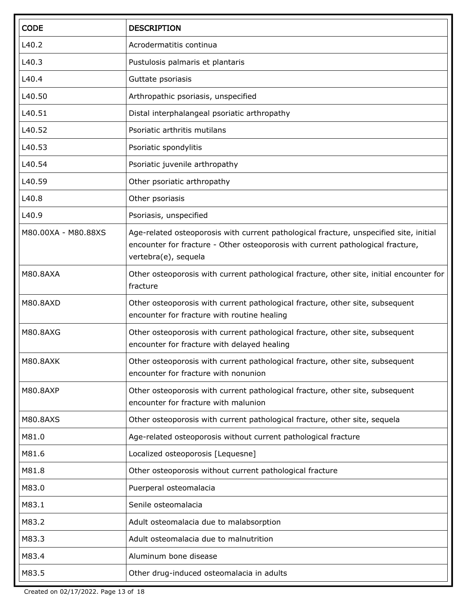| <b>CODE</b>         | <b>DESCRIPTION</b>                                                                                                                                                                                |  |
|---------------------|---------------------------------------------------------------------------------------------------------------------------------------------------------------------------------------------------|--|
| L40.2               | Acrodermatitis continua                                                                                                                                                                           |  |
| L40.3               | Pustulosis palmaris et plantaris                                                                                                                                                                  |  |
| L40.4               | Guttate psoriasis                                                                                                                                                                                 |  |
| L40.50              | Arthropathic psoriasis, unspecified                                                                                                                                                               |  |
| L40.51              | Distal interphalangeal psoriatic arthropathy                                                                                                                                                      |  |
| L40.52              | Psoriatic arthritis mutilans                                                                                                                                                                      |  |
| L40.53              | Psoriatic spondylitis                                                                                                                                                                             |  |
| L40.54              | Psoriatic juvenile arthropathy                                                                                                                                                                    |  |
| L40.59              | Other psoriatic arthropathy                                                                                                                                                                       |  |
| L40.8               | Other psoriasis                                                                                                                                                                                   |  |
| L40.9               | Psoriasis, unspecified                                                                                                                                                                            |  |
| M80.00XA - M80.88XS | Age-related osteoporosis with current pathological fracture, unspecified site, initial<br>encounter for fracture - Other osteoporosis with current pathological fracture,<br>vertebra(e), sequela |  |
| <b>M80.8AXA</b>     | Other osteoporosis with current pathological fracture, other site, initial encounter for<br>fracture                                                                                              |  |
| <b>M80.8AXD</b>     | Other osteoporosis with current pathological fracture, other site, subsequent<br>encounter for fracture with routine healing                                                                      |  |
| M80.8AXG            | Other osteoporosis with current pathological fracture, other site, subsequent<br>encounter for fracture with delayed healing                                                                      |  |
| <b>M80.8AXK</b>     | Other osteoporosis with current pathological fracture, other site, subsequent<br>encounter for fracture with nonunion                                                                             |  |
| M80.8AXP            | Other osteoporosis with current pathological fracture, other site, subsequent<br>encounter for fracture with malunion                                                                             |  |
| <b>M80.8AXS</b>     | Other osteoporosis with current pathological fracture, other site, sequela                                                                                                                        |  |
| M81.0               | Age-related osteoporosis without current pathological fracture                                                                                                                                    |  |
| M81.6               | Localized osteoporosis [Lequesne]                                                                                                                                                                 |  |
| M81.8               | Other osteoporosis without current pathological fracture                                                                                                                                          |  |
| M83.0               | Puerperal osteomalacia                                                                                                                                                                            |  |
| M83.1               | Senile osteomalacia                                                                                                                                                                               |  |
| M83.2               | Adult osteomalacia due to malabsorption                                                                                                                                                           |  |
| M83.3               | Adult osteomalacia due to malnutrition                                                                                                                                                            |  |
| M83.4               | Aluminum bone disease                                                                                                                                                                             |  |
| M83.5               | Other drug-induced osteomalacia in adults                                                                                                                                                         |  |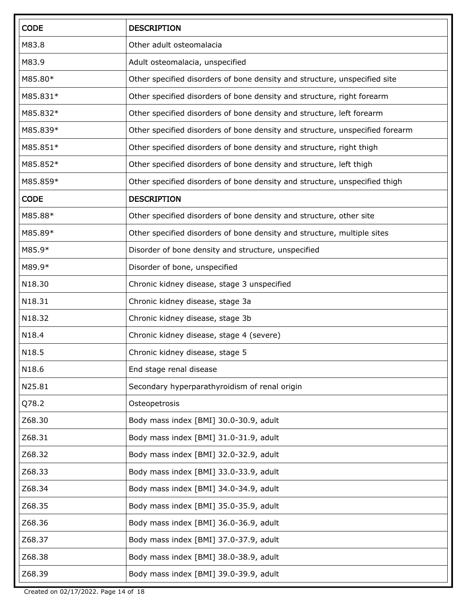| <b>CODE</b> | <b>DESCRIPTION</b>                                                           |  |
|-------------|------------------------------------------------------------------------------|--|
| M83.8       | Other adult osteomalacia                                                     |  |
| M83.9       | Adult osteomalacia, unspecified                                              |  |
| M85.80*     | Other specified disorders of bone density and structure, unspecified site    |  |
| M85.831*    | Other specified disorders of bone density and structure, right forearm       |  |
| M85.832*    | Other specified disorders of bone density and structure, left forearm        |  |
| M85.839*    | Other specified disorders of bone density and structure, unspecified forearm |  |
| M85.851*    | Other specified disorders of bone density and structure, right thigh         |  |
| M85.852*    | Other specified disorders of bone density and structure, left thigh          |  |
| M85.859*    | Other specified disorders of bone density and structure, unspecified thigh   |  |
| <b>CODE</b> | <b>DESCRIPTION</b>                                                           |  |
| M85.88*     | Other specified disorders of bone density and structure, other site          |  |
| M85.89*     | Other specified disorders of bone density and structure, multiple sites      |  |
| M85.9*      | Disorder of bone density and structure, unspecified                          |  |
| M89.9*      | Disorder of bone, unspecified                                                |  |
| N18.30      | Chronic kidney disease, stage 3 unspecified                                  |  |
| N18.31      | Chronic kidney disease, stage 3a                                             |  |
| N18.32      | Chronic kidney disease, stage 3b                                             |  |
| N18.4       | Chronic kidney disease, stage 4 (severe)                                     |  |
| N18.5       | Chronic kidney disease, stage 5                                              |  |
| N18.6       | End stage renal disease                                                      |  |
| N25.81      | Secondary hyperparathyroidism of renal origin                                |  |
| Q78.2       | Osteopetrosis                                                                |  |
| Z68.30      | Body mass index [BMI] 30.0-30.9, adult                                       |  |
| Z68.31      | Body mass index [BMI] 31.0-31.9, adult                                       |  |
| Z68.32      | Body mass index [BMI] 32.0-32.9, adult                                       |  |
| Z68.33      | Body mass index [BMI] 33.0-33.9, adult                                       |  |
| Z68.34      | Body mass index [BMI] 34.0-34.9, adult                                       |  |
| Z68.35      | Body mass index [BMI] 35.0-35.9, adult                                       |  |
| Z68.36      | Body mass index [BMI] 36.0-36.9, adult                                       |  |
| Z68.37      | Body mass index [BMI] 37.0-37.9, adult                                       |  |
| Z68.38      | Body mass index [BMI] 38.0-38.9, adult                                       |  |
| Z68.39      | Body mass index [BMI] 39.0-39.9, adult                                       |  |

Created on 02/17/2022. Page 14 of 18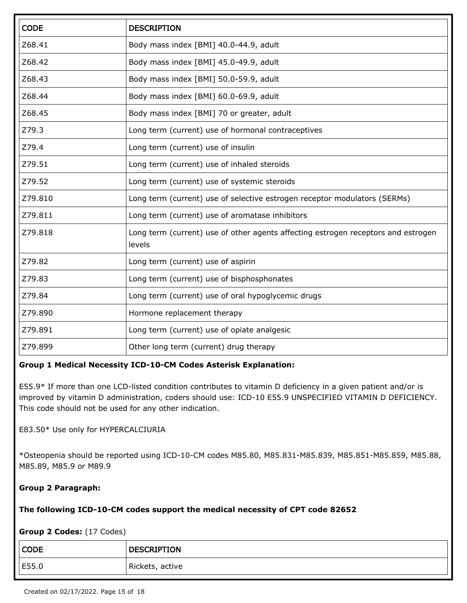| <b>CODE</b> | <b>DESCRIPTION</b>                                                                          |  |
|-------------|---------------------------------------------------------------------------------------------|--|
| Z68.41      | Body mass index [BMI] 40.0-44.9, adult                                                      |  |
| Z68.42      | Body mass index [BMI] 45.0-49.9, adult                                                      |  |
| Z68.43      | Body mass index [BMI] 50.0-59.9, adult                                                      |  |
| Z68.44      | Body mass index [BMI] 60.0-69.9, adult                                                      |  |
| Z68.45      | Body mass index [BMI] 70 or greater, adult                                                  |  |
| Z79.3       | Long term (current) use of hormonal contraceptives                                          |  |
| Z79.4       | Long term (current) use of insulin                                                          |  |
| Z79.51      | Long term (current) use of inhaled steroids                                                 |  |
| Z79.52      | Long term (current) use of systemic steroids                                                |  |
| Z79.810     | Long term (current) use of selective estrogen receptor modulators (SERMs)                   |  |
| Z79.811     | Long term (current) use of aromatase inhibitors                                             |  |
| Z79.818     | Long term (current) use of other agents affecting estrogen receptors and estrogen<br>levels |  |
| Z79.82      | Long term (current) use of aspirin                                                          |  |
| Z79.83      | Long term (current) use of bisphosphonates                                                  |  |
| Z79.84      | Long term (current) use of oral hypoglycemic drugs                                          |  |
| Z79.890     | Hormone replacement therapy                                                                 |  |
| Z79.891     | Long term (current) use of opiate analgesic                                                 |  |
| Z79.899     | Other long term (current) drug therapy                                                      |  |

#### **Group 1 Medical Necessity ICD-10-CM Codes Asterisk Explanation:**

E55.9\* If more than one LCD-listed condition contributes to vitamin D deficiency in a given patient and/or is improved by vitamin D administration, coders should use: ICD-10 E55.9 UNSPECIFIED VITAMIN D DEFICIENCY. This code should not be used for any other indication.

E83.50\* Use only for HYPERCALCIURIA

\*Osteopenia should be reported using ICD-10-CM codes M85.80, M85.831-M85.839, M85.851-M85.859, M85.88, M85.89, M85.9 or M89.9

#### **Group 2 Paragraph:**

#### **The following ICD-10-CM codes support the medical necessity of CPT code 82652**

**Group 2 Codes:** (17 Codes)

| <b>CODE</b> | <b>DESCRIPTION</b> |
|-------------|--------------------|
| E55.0       | Rickets, active    |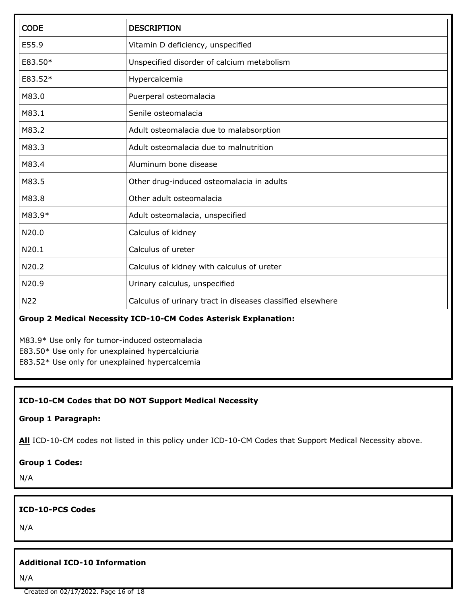| <b>CODE</b> | <b>DESCRIPTION</b>                                         |  |
|-------------|------------------------------------------------------------|--|
| E55.9       | Vitamin D deficiency, unspecified                          |  |
| E83.50*     | Unspecified disorder of calcium metabolism                 |  |
| E83.52*     | Hypercalcemia                                              |  |
| M83.0       | Puerperal osteomalacia                                     |  |
| M83.1       | Senile osteomalacia                                        |  |
| M83.2       | Adult osteomalacia due to malabsorption                    |  |
| M83.3       | Adult osteomalacia due to malnutrition                     |  |
| M83.4       | Aluminum bone disease                                      |  |
| M83.5       | Other drug-induced osteomalacia in adults                  |  |
| M83.8       | Other adult osteomalacia                                   |  |
| M83.9*      | Adult osteomalacia, unspecified                            |  |
| N20.0       | Calculus of kidney                                         |  |
| N20.1       | Calculus of ureter                                         |  |
| N20.2       | Calculus of kidney with calculus of ureter                 |  |
| N20.9       | Urinary calculus, unspecified                              |  |
| N22         | Calculus of urinary tract in diseases classified elsewhere |  |

### **Group 2 Medical Necessity ICD-10-CM Codes Asterisk Explanation:**

M83.9\* Use only for tumor-induced osteomalacia E83.50\* Use only for unexplained hypercalciuria E83.52\* Use only for unexplained hypercalcemia

### **ICD-10-CM Codes that DO NOT Support Medical Necessity**

### **Group 1 Paragraph:**

All ICD-10-CM codes not listed in this policy under ICD-10-CM Codes that Support Medical Necessity above.

### **Group 1 Codes:**

N/A

## **ICD-10-PCS Codes**

N/A

### **Additional ICD-10 Information**

N/A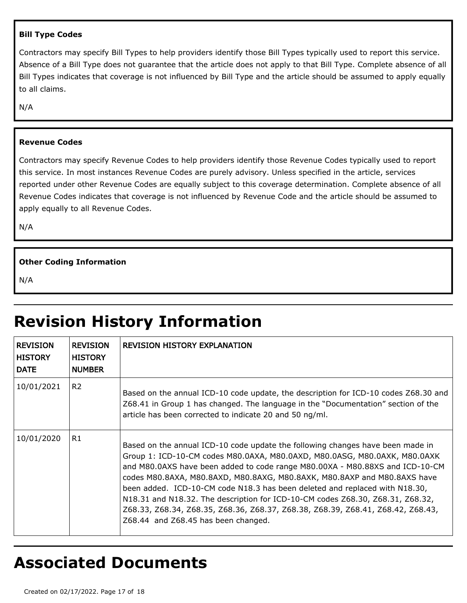#### **Bill Type Codes**

Contractors may specify Bill Types to help providers identify those Bill Types typically used to report this service. Absence of a Bill Type does not guarantee that the article does not apply to that Bill Type. Complete absence of all Bill Types indicates that coverage is not influenced by Bill Type and the article should be assumed to apply equally to all claims.

N/A

#### **Revenue Codes**

Contractors may specify Revenue Codes to help providers identify those Revenue Codes typically used to report this service. In most instances Revenue Codes are purely advisory. Unless specified in the article, services reported under other Revenue Codes are equally subject to this coverage determination. Complete absence of all Revenue Codes indicates that coverage is not influenced by Revenue Code and the article should be assumed to apply equally to all Revenue Codes.

N/A

#### **Other Coding Information**

N/A

# **Revision History Information**

| REVISION<br><b>HISTORY</b><br>∣ DATE | <b>REVISION</b><br><b>HISTORY</b><br><b>NUMBER</b> | <b>REVISION HISTORY EXPLANATION</b>                                                                                                                                                                                                                                                                                                                                                                                                                                                                                                                                                                                |
|--------------------------------------|----------------------------------------------------|--------------------------------------------------------------------------------------------------------------------------------------------------------------------------------------------------------------------------------------------------------------------------------------------------------------------------------------------------------------------------------------------------------------------------------------------------------------------------------------------------------------------------------------------------------------------------------------------------------------------|
| 10/01/2021                           | R <sub>2</sub>                                     | Based on the annual ICD-10 code update, the description for ICD-10 codes Z68.30 and<br>Z68.41 in Group 1 has changed. The language in the "Documentation" section of the<br>article has been corrected to indicate 20 and 50 ng/ml.                                                                                                                                                                                                                                                                                                                                                                                |
| 10/01/2020                           | R1                                                 | Based on the annual ICD-10 code update the following changes have been made in<br>Group 1: ICD-10-CM codes M80.0AXA, M80.0AXD, M80.0ASG, M80.0AXK, M80.0AXK<br>and M80.0AXS have been added to code range M80.00XA - M80.88XS and ICD-10-CM<br>codes M80.8AXA, M80.8AXD, M80.8AXG, M80.8AXK, M80.8AXP and M80.8AXS have<br>been added. ICD-10-CM code N18.3 has been deleted and replaced with N18.30,<br>N18.31 and N18.32. The description for ICD-10-CM codes Z68.30, Z68.31, Z68.32,<br>Z68.33, Z68.34, Z68.35, Z68.36, Z68.37, Z68.38, Z68.39, Z68.41, Z68.42, Z68.43,<br>Z68.44 and Z68.45 has been changed. |

# **Associated Documents**